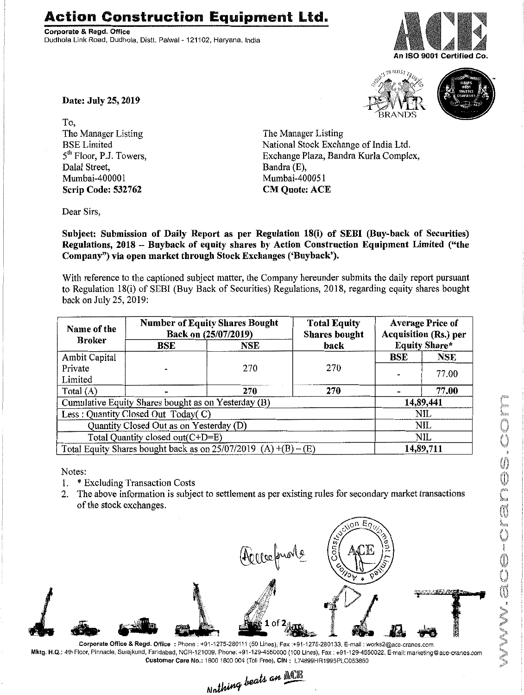## **Action Construction Equipment Ltd.**

Corporate & Regd. Office Dudhola Link Road, Dudhola, Distt. Palwal- 121102, Haryana, India







Date: July 25, 2019

To, The Manager Listing BSE Limited 5<sup>th</sup> Floor, P.J. Towers, Dalal Street, Mumbai-400001 Scrip Code: 532762

The Manager Listing National Stock Exchange of India Ltd. Exchange Plaza, Bandra Kurla Complex, Bandra (E), Mumbai-400051 CM Quote: ACE

Dear Sirs,

Subject: Submission of Daily Report as per Regulation 18(i) of SEBI (Buy-back of Securities) Regulations, 2018 - Buyback of equity shares by Action Construction Equipment Limited ("the Company") via open market through Stock Exchanges ('Buyback').

With reference to the captioned subject matter, the Company hereunder submits the daily report pursuant to Regulation 18(i) of SEBI (Buy Back of Securities) Regulations, 2018, regarding equity shares bought back on July 25, 2019:

| Name of the<br><b>Broker</b>                                      | <b>Number of Equity Shares Bought</b><br>Back on (25/07/2019) |     | <b>Total Equity</b><br><b>Shares</b> bought | <b>Average Price of</b><br>Acquisition (Rs.) per |           |  |
|-------------------------------------------------------------------|---------------------------------------------------------------|-----|---------------------------------------------|--------------------------------------------------|-----------|--|
|                                                                   | BSE                                                           | NSE | back                                        | <b>Equity Share*</b>                             |           |  |
| Ambit Capital                                                     |                                                               |     | 270                                         | <b>BSE</b>                                       | NSE       |  |
| Private                                                           |                                                               | 270 |                                             | 77.00                                            |           |  |
| Limited                                                           |                                                               |     |                                             |                                                  |           |  |
| Total (A)                                                         |                                                               | 270 | 270                                         |                                                  | 77.00     |  |
| Cumulative Equity Shares bought as on Yesterday (B)               |                                                               |     |                                             |                                                  | 14,89,441 |  |
| Less: Quantity Closed Out Today(C)                                |                                                               |     |                                             |                                                  | NIL       |  |
| Quantity Closed Out as on Yesterday (D)                           |                                                               |     |                                             |                                                  | NIL       |  |
| Total Quantity closed out(C+D=E)                                  |                                                               |     |                                             |                                                  | NIL       |  |
| Total Equity Shares bought back as on $25/07/2019$ (A) +(B) – (E) |                                                               |     |                                             | 14,89,711                                        |           |  |

Notes:

- 1. \* Excluding Transaction Costs
- 2. The above information is subject to settlement as per existing rules for secondary market transactions of the stock exchanges.



Corporate Office & Regd, Office: Phone: +91-'1275-280111(50 Lines), Fax:+91-1275-280133, E-mail: works2@ace-cranes.com Mklg. H.Q.: 4th Floor,Pinnacle, Surajkund, Faridabad, NCR-1210D9,Phone: +91-129-4550000 (100 Lines), Fax: +91-129-4550022, E-mail:marketing@ace-cranes.com

Customer Care No.: 1800 1800 004 (Toll Free), CIN: L74899HR1995PLC053860<br>Nothing beats an **ACTE**